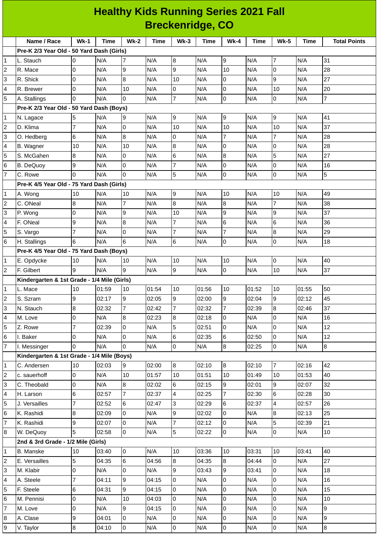|   | <b>Healthy Kids Running Series 2021 Fall</b>           |                |       |                  |       |                  |       |                |       |                     |       |                     |
|---|--------------------------------------------------------|----------------|-------|------------------|-------|------------------|-------|----------------|-------|---------------------|-------|---------------------|
|   | <b>Breckenridge, CO</b>                                |                |       |                  |       |                  |       |                |       |                     |       |                     |
|   | Name / Race                                            | $Wk-1$         | Time  | <b>Wk-2</b>      | Time  | $Wk-3$           | Time  | <b>Wk-4</b>    | Time  | <b>Wk-5</b>         | Time  | <b>Total Points</b> |
|   | Pre-K 2/3 Year Old - 50 Yard Dash (Girls)              |                |       |                  |       |                  |       |                |       |                     |       |                     |
| 1 | L. Stauch                                              | 0              | N/A   | 7                | N/A   | 8                | N/A   | 9              | N/A   | $\overline{7}$      | N/A   | 31                  |
| 2 | R. Mace                                                | 0              | N/A   | 9                | N/A   | 9                | N/A   | 10             | N/A   | $\overline{0}$      | N/A   | 28                  |
| 3 | R. Shick                                               | 0              | N/A   | $\boldsymbol{8}$ | N/A   | 10               | N/A   | 0              | N/A   | 9                   | N/A   | 27                  |
| 4 | R. Brewer                                              | 0              | N/A   | 10               | N/A   | 0                | N/A   | 0              | N/A   | 10                  | N/A   | 20                  |
| 5 | A. Stallings                                           | 0              | N/A   | $\overline{0}$   | N/A   | $\overline{7}$   | N/A   | 0              | N/A   | 0                   | N/A   | $\overline{7}$      |
|   | Pre-K 2/3 Year Old - 50 Yard Dash (Boys)               |                |       |                  |       |                  |       |                |       |                     |       |                     |
| 1 | N. Lagace                                              | 5              | N/A   | 9                | N/A   | 9                | N/A   | 9              | N/A   | 9                   | N/A   | 41                  |
| 2 | D. Klima                                               | $\overline{7}$ | N/A   | $\pmb{0}$        | N/A   | 10               | N/A   | 10             | N/A   | 10                  | N/A   | 37                  |
| 3 | O. Hedberg                                             | 6              | N/A   | $\boldsymbol{8}$ | N/A   | 0                | N/A   | $\overline{7}$ | N/A   | $\overline{7}$      | N/A   | 28                  |
| 4 | B. Wagner                                              | 10             | N/A   | 10               | N/A   | $\boldsymbol{8}$ | N/A   | 0              | N/A   | 0                   | N/A   | 28                  |
| 5 | S. McGahen                                             | 8              | N/A   | 0                | N/A   | 6                | N/A   | 8              | N/A   | 5                   | N/A   | 27                  |
| 6 | B. DeQuoy                                              | 9              | N/A   | 0                | N/A   | $\overline{7}$   | N/A   | $\pmb{0}$      | N/A   | $\mathsf{O}$        | N/A   | 16                  |
| 7 | C. Rowe                                                | 0              | N/A   | $\overline{0}$   | N/A   | 5                | N/A   | 0              | N/A   | $\overline{0}$      | N/A   | 5                   |
|   | Pre-K 4/5 Year Old - 75 Yard Dash (Girls)              |                |       |                  |       |                  |       |                |       |                     |       |                     |
| 1 | A. Wong                                                | 10             | N/A   | 10               | N/A   | 9                | N/A   | 10             | N/A   | 10                  | N/A   | 49                  |
| 2 | C. ONeal                                               | 8              | N/A   | 7                | N/A   | $\overline{8}$   | N/A   | $\bf 8$        | N/A   | $\overline{7}$      | N/A   | 38                  |
| 3 | P. Wong                                                | 0              | N/A   | $\mathsf g$      | N/A   | 10               | N/A   | 9              | N/A   | 9                   | N/A   | 37                  |
| 4 | F. ONeal                                               | 9              | N/A   | $\boldsymbol{8}$ | N/A   | 7                | N/A   | 6              | N/A   | 6                   | N/A   | 36                  |
| 5 | S. Vargo                                               | 7              | N/A   | $\mathbf 0$      | N/A   | $\overline{7}$   | N/A   | $\overline{7}$ | N/A   | $\bf{8}$            | N/A   | 29                  |
| 6 | H. Stallings                                           | 6              | N/A   | $6\phantom{.}6$  | N/A   | $\,6$            | N/A   | 0              | N/A   | $\mathsf{O}$        | N/A   | 18                  |
|   | Pre-K 4/5 Year Old - 75 Yard Dash (Boys)               |                |       |                  |       |                  |       |                |       |                     |       |                     |
| 1 | E. Opdycke                                             | 10             | N/A   | 10               | N/A   | 10               | N/A   | 10             | N/A   | O                   | N/A   | 40                  |
| 2 | F. Gilbert                                             | 9              | N/A   | 9                | N/A   | 9                | N/A   | $\overline{0}$ | N/A   | 10                  | N/A   | 37                  |
|   | Kindergarten & 1st Grade - 1/4 Mile (Girls)            |                |       |                  |       |                  |       |                |       |                     |       |                     |
| 1 | L. Mace                                                | 10             | 01:59 | 10               | 01:54 | 10               | 01:56 | 10             | 01:52 | 10                  | 01:55 | 50                  |
| 2 | S. Szram                                               | 9              | 02:17 | 9                | 02:05 | 9                | 02:00 | 9              | 02:04 | 9                   | 02:12 | 45                  |
| 3 | N. Stauch                                              | 8              | 02:32 | $\overline{7}$   | 02:42 | $\overline{7}$   | 02:32 | $\overline{7}$ | 02:39 | 8                   | 02:46 | 37                  |
| 4 | M. Love                                                | 0              | N/A   | 8                | 02:23 | $\boldsymbol{8}$ | 02:18 | 0              | N/A   | 0                   | N/A   | 16                  |
| 5 | Z. Rowe                                                | 7              | 02:39 | 0                | N/A   | 5                | 02:51 | $\overline{0}$ | N/A   | l0                  | N/A   | 12                  |
| 6 | I. Baker                                               | 0              | N/A   | 0                | N/A   | $6\phantom{.}6$  | 02:35 | 6              | 02:50 | O                   | N/A   | 12                  |
| 7 | I. Messinger                                           | 0              | N/A   | $\Omega$         | N/A   | $\overline{0}$   | N/A   | 8              | 02:25 | 0                   | N/A   | 8                   |
|   | Kindergarten & 1st Grade - 1/4 Mile (Boys)             |                |       |                  |       |                  |       |                |       |                     |       |                     |
| 1 | C. Andersen                                            | 10             | 02:03 | 9                | 02:00 | $\overline{8}$   | 02:10 | 8              | 02:10 | $\overline{7}$      | 02:16 | 42                  |
| 2 | c. sauerhoff                                           | 0              | N/A   | 10               | 01:57 | 10               | 01:51 | 10             | 01:49 | 10                  | 01:53 | 40                  |
| 3 | C. Theobald                                            | 0              | N/A   | 8                | 02:02 | 6                | 02:15 | 9              | 02:01 | 9                   | 02:07 | 32                  |
| 4 | H. Larson                                              | 6              | 02:57 | $\overline{7}$   | 02:37 | $\overline{4}$   | 02:25 | $\overline{7}$ | 02:30 | 6                   | 02:28 | 30                  |
| 5 | J. Versailles                                          | 7              | 02:52 | 6                | 02:47 | 3                | 02:29 | 6              | 02:37 | $\overline{4}$      | 02:57 | 26                  |
| 6 | K. Rashidi                                             | 8              | 02:09 | 0                | N/A   | 9                | 02:02 | 0              | N/A   | 8                   | 02:13 | 25                  |
| 7 | K. Rashidi                                             | 9              | 02:07 | 0                | N/A   | 7                | 02:12 | 0              | N/A   | 5                   | 02:39 | 21                  |
| 8 |                                                        | 5              | 02:58 | $\overline{0}$   | N/A   | 5                | 02:22 | 0              | N/A   | $\overline{0}$      |       | 10                  |
|   | W. DeQuoy                                              |                |       |                  |       |                  |       |                |       |                     | N/A   |                     |
|   | 2nd & 3rd Grade - 1/2 Mile (Girls)<br><b>B.</b> Manske | 10             | 03:40 | $\overline{0}$   | N/A   | 10               | 03:36 | 10             | 03:31 | 10                  | 03:41 | 40                  |
| 1 |                                                        |                |       |                  |       |                  |       |                |       |                     |       |                     |
| 2 | E. Versailles                                          | 5              | 04:35 | 6                | 04:56 | $\boldsymbol{8}$ | 04:35 | 8              | 04:44 | l0                  | N/A   | 27                  |
| 3 | M. Klabir                                              | 0              | N/A   | 0                | N/A   | 9                | 03:43 | 9              | 03:41 | 0<br>$\overline{0}$ | N/A   | 18                  |
| 4 | A. Steele                                              | $\overline{7}$ | 04:11 | 9                | 04:15 | $\overline{0}$   | N/A   | $\mathsf{O}$   | N/A   |                     | N/A   | 16                  |
| 5 | F. Steele                                              | 6              | 04:31 | 9                | 04:15 | 0                | N/A   | $\overline{0}$ | N/A   | l0                  | N/A   | 15                  |
| 6 | M. Pennisi                                             | 0              | N/A   | 10               | 04:03 | 0                | N/A   | $\mathsf{O}$   | N/A   | l0                  | N/A   | 10                  |
| 7 | M. Love                                                | 0              | N/A   | 9                | 04:15 | 0                | N/A   | $\overline{0}$ | N/A   | $\overline{0}$      | N/A   | $\overline{9}$      |
| 8 | A. Clase                                               | 9              | 04:01 | $\mathsf 0$      | N/A   | $\mathsf 0$      | N/A   | $\overline{0}$ | N/A   | $\mathsf 0$         | N/A   | $\overline{9}$      |

V. Taylor 8 04:10 0 N/A 0 N/A 0 N/A 0 N/A 8